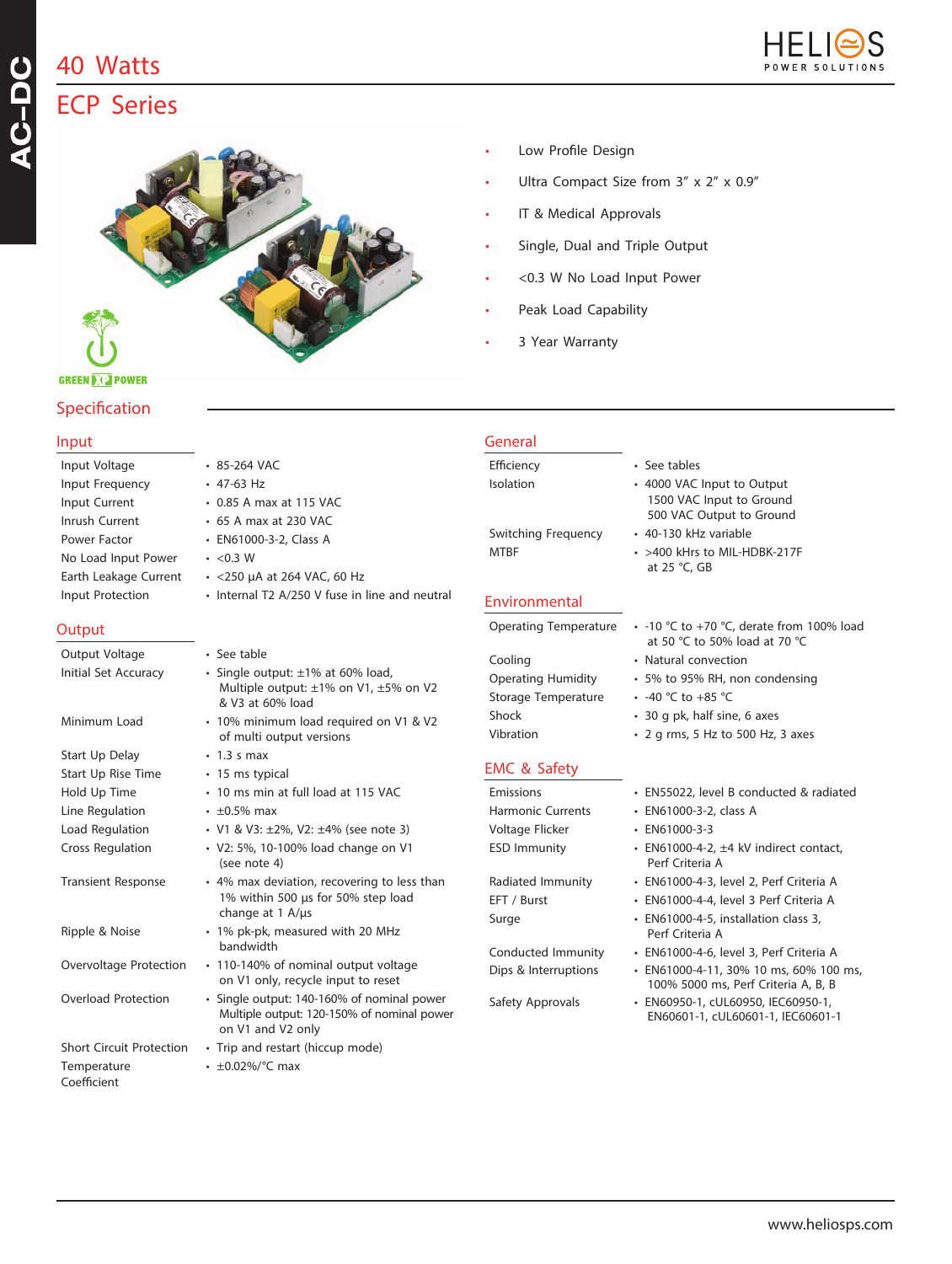## **40 Watts**

**Specification** 

**GREEN DIE POWER** 



# AC-DC **ECP Series**



- Low Profile Design
- Ultra Compact Size from 3" x 2" x 0.9"
- IT & Medical Approvals
- Single, Dual and Triple Output
- <0.3 W No Load Input Power
- Peak Load Capability
- 3 Year Warranty

| Input                           |                                                                                                               | General                                    |                                                                                                                |
|---------------------------------|---------------------------------------------------------------------------------------------------------------|--------------------------------------------|----------------------------------------------------------------------------------------------------------------|
| Input Voltage                   | • 85-264 VAC                                                                                                  | Efficiency                                 | • See tables                                                                                                   |
| Input Frequency                 | $\cdot$ 47-63 Hz                                                                                              | Isolation                                  | • 4000 VAC Input to Output                                                                                     |
| Input Current                   | • 0.85 A max at 115 VAC                                                                                       |                                            | 1500 VAC Input to Ground                                                                                       |
| Inrush Current                  | • 65 A max at 230 VAC                                                                                         | Switching Frequency                        | 500 VAC Output to Ground<br>• 40-130 kHz variable                                                              |
| Power Factor                    | • EN61000-3-2, Class A                                                                                        | <b>MTBF</b>                                | • >400 kHrs to MIL-HDBK-217F                                                                                   |
| No Load Input Power             | $\cdot$ <0.3 W                                                                                                |                                            | at 25 °C, GB                                                                                                   |
| Earth Leakage Current           | $\cdot$ <250 µA at 264 VAC, 60 Hz                                                                             |                                            |                                                                                                                |
| Input Protection                | • Internal T2 A/250 V fuse in line and neutral                                                                | Environmental                              |                                                                                                                |
| Output                          |                                                                                                               | Operating Temperature                      | $\cdot$ -10 °C to +70 °C, derate from 100% load<br>at 50 °C to 50% load at 70 °C                               |
| Output Voltage                  | • See table                                                                                                   | Cooling                                    | • Natural convection                                                                                           |
| Initial Set Accuracy            | · Single output: ±1% at 60% load,<br>Multiple output: ±1% on V1, ±5% on V2                                    | <b>Operating Humidity</b>                  | • 5% to 95% RH, non condensing                                                                                 |
|                                 | & V3 at 60% load                                                                                              | Storage Temperature                        | • -40 °C to +85 °C                                                                                             |
| Minimum Load                    | · 10% minimum load required on V1 & V2                                                                        | Shock                                      | • 30 g pk, half sine, 6 axes                                                                                   |
|                                 | of multi output versions                                                                                      | Vibration                                  | • 2 g rms, 5 Hz to 500 Hz, 3 axes                                                                              |
| Start Up Delay                  | $\cdot$ 1.3 s max                                                                                             |                                            |                                                                                                                |
| Start Up Rise Time              | • 15 ms typical                                                                                               | <b>EMC &amp; Safety</b>                    |                                                                                                                |
| Hold Up Time                    | • 10 ms min at full load at 115 VAC                                                                           | Emissions                                  | • EN55022, level B conducted & radiated                                                                        |
| Line Regulation                 | $\cdot$ ±0.5% max                                                                                             | <b>Harmonic Currents</b>                   | · EN61000-3-2, class A                                                                                         |
| Load Regulation                 | • V1 & V3: ±2%, V2: ±4% (see note 3)                                                                          | Voltage Flicker                            | $\cdot$ EN61000-3-3                                                                                            |
| <b>Cross Regulation</b>         | • V2: 5%, 10-100% load change on V1<br>(see note 4)                                                           | <b>ESD Immunity</b>                        | $\cdot$ EN61000-4-2, $\pm$ 4 kV indirect contact,<br>Perf Criteria A                                           |
| <b>Transient Response</b>       | • 4% max deviation, recovering to less than                                                                   | Radiated Immunity                          | · EN61000-4-3, level 2, Perf Criteria A                                                                        |
|                                 | 1% within 500 us for 50% step load<br>change at $1$ A/ $\mu$ s                                                | EFT / Burst                                | · EN61000-4-4, level 3 Perf Criteria A                                                                         |
| Ripple & Noise                  | • 1% pk-pk, measured with 20 MHz<br>bandwidth                                                                 | Surge                                      | • EN61000-4-5, installation class 3,<br>Perf Criteria A                                                        |
| Overvoltage Protection          | • 110-140% of nominal output voltage<br>on V1 only, recycle input to reset                                    | Conducted Immunity<br>Dips & Interruptions | · EN61000-4-6, level 3, Perf Criteria A<br>· EN61000-4-11, 30% 10 ms, 60% 100 ms,                              |
| Overload Protection             | · Single output: 140-160% of nominal power<br>Multiple output: 120-150% of nominal power<br>on V1 and V2 only | Safety Approvals                           | 100% 5000 ms, Perf Criteria A, B, B<br>· EN60950-1, cUL60950, IEC60950-1,<br>EN60601-1, cUL60601-1, IEC60601-1 |
| <b>Short Circuit Protection</b> | • Trip and restart (hiccup mode)                                                                              |                                            |                                                                                                                |
| Temperature<br>Coefficient      | $\cdot$ ±0.02%/°C max                                                                                         |                                            |                                                                                                                |